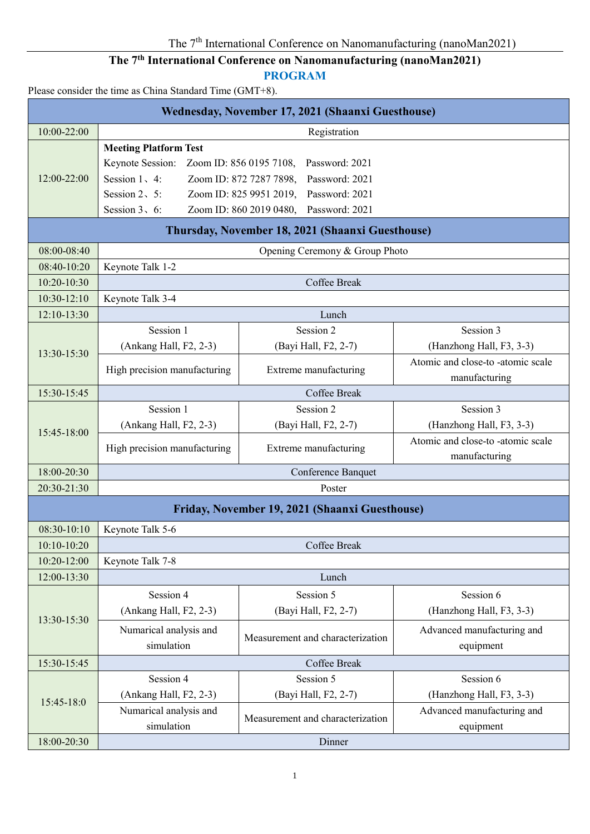# **The 7th International Conference on Nanomanufacturing (nanoMan2021)**

**PROGRAM**

Please consider the time as China Standard Time (GMT+8).

| Wednesday, November 17, 2021 (Shaanxi Guesthouse) |                                                               |                                                  |                                   |  |  |  |  |
|---------------------------------------------------|---------------------------------------------------------------|--------------------------------------------------|-----------------------------------|--|--|--|--|
| 10:00-22:00                                       | Registration                                                  |                                                  |                                   |  |  |  |  |
|                                                   | <b>Meeting Platform Test</b>                                  |                                                  |                                   |  |  |  |  |
|                                                   | Keynote Session:<br>Zoom ID: 856 0195 7108,<br>Password: 2021 |                                                  |                                   |  |  |  |  |
| 12:00-22:00                                       | Session $1, 4$ :<br>Zoom ID: 872 7287 7898,<br>Password: 2021 |                                                  |                                   |  |  |  |  |
|                                                   | Session $2\sqrt{5}$ :                                         | Zoom ID: 825 9951 2019,<br>Password: 2021        |                                   |  |  |  |  |
|                                                   | Zoom ID: 860 2019 0480,<br>Session $3, 6$ :<br>Password: 2021 |                                                  |                                   |  |  |  |  |
|                                                   |                                                               | Thursday, November 18, 2021 (Shaanxi Guesthouse) |                                   |  |  |  |  |
| 08:00-08:40                                       |                                                               | Opening Ceremony & Group Photo                   |                                   |  |  |  |  |
| 08:40-10:20                                       | Keynote Talk 1-2                                              |                                                  |                                   |  |  |  |  |
| 10:20-10:30                                       |                                                               | Coffee Break                                     |                                   |  |  |  |  |
| 10:30-12:10                                       | Keynote Talk 3-4                                              |                                                  |                                   |  |  |  |  |
| 12:10-13:30                                       |                                                               | Lunch                                            |                                   |  |  |  |  |
|                                                   | Session 1                                                     | Session 2                                        | Session 3                         |  |  |  |  |
| 13:30-15:30                                       | (Ankang Hall, F2, 2-3)                                        | (Bayi Hall, F2, 2-7)                             | (Hanzhong Hall, F3, 3-3)          |  |  |  |  |
|                                                   | High precision manufacturing                                  | Extreme manufacturing                            | Atomic and close-to -atomic scale |  |  |  |  |
|                                                   |                                                               |                                                  | manufacturing                     |  |  |  |  |
| 15:30-15:45                                       |                                                               | Coffee Break                                     |                                   |  |  |  |  |
|                                                   | Session 1                                                     | Session 2                                        | Session 3                         |  |  |  |  |
| 15:45-18:00                                       | (Ankang Hall, F2, 2-3)                                        | (Bayi Hall, F2, 2-7)                             | (Hanzhong Hall, F3, 3-3)          |  |  |  |  |
|                                                   | High precision manufacturing                                  | Extreme manufacturing                            | Atomic and close-to -atomic scale |  |  |  |  |
| 18:00-20:30                                       |                                                               |                                                  | manufacturing                     |  |  |  |  |
| 20:30-21:30                                       | Conference Banquet<br>Poster                                  |                                                  |                                   |  |  |  |  |
|                                                   |                                                               |                                                  |                                   |  |  |  |  |
|                                                   |                                                               | Friday, November 19, 2021 (Shaanxi Guesthouse)   |                                   |  |  |  |  |
| 08:30-10:10                                       | Keynote Talk 5-6                                              |                                                  |                                   |  |  |  |  |
| $10:10-10:20$                                     |                                                               | <b>Coffee Break</b>                              |                                   |  |  |  |  |
| 10:20-12:00                                       | Keynote Talk 7-8                                              |                                                  |                                   |  |  |  |  |
| 12:00-13:30                                       |                                                               | Lunch                                            |                                   |  |  |  |  |
|                                                   | Session 4                                                     | Session 5                                        | Session 6                         |  |  |  |  |
| 13:30-15:30                                       | (Ankang Hall, F2, 2-3)                                        | (Bayi Hall, F2, 2-7)                             | (Hanzhong Hall, F3, 3-3)          |  |  |  |  |
|                                                   | Numarical analysis and                                        | Measurement and characterization                 | Advanced manufacturing and        |  |  |  |  |
|                                                   | simulation                                                    |                                                  | equipment                         |  |  |  |  |
| 15:30-15:45                                       |                                                               | <b>Coffee Break</b>                              |                                   |  |  |  |  |
|                                                   | Session 4                                                     | Session 5                                        | Session 6                         |  |  |  |  |
| 15:45-18:0                                        | (Ankang Hall, F2, 2-3)                                        | (Bayi Hall, F2, 2-7)                             | (Hanzhong Hall, F3, 3-3)          |  |  |  |  |
|                                                   | Numarical analysis and                                        | Measurement and characterization                 | Advanced manufacturing and        |  |  |  |  |
|                                                   | simulation                                                    |                                                  | equipment                         |  |  |  |  |
| 18:00-20:30                                       | Dinner                                                        |                                                  |                                   |  |  |  |  |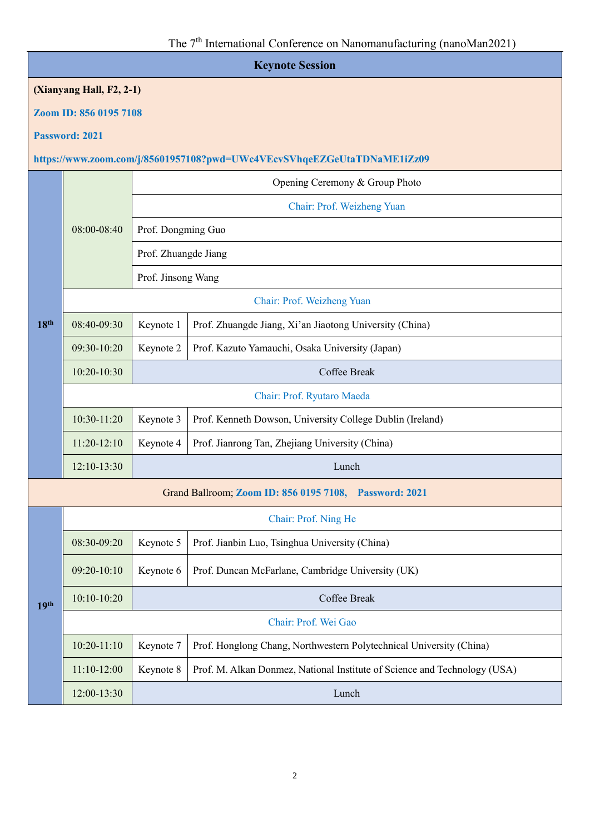| <b>Keynote Session</b> |                                                                         |                            |                                                                           |  |  |  |
|------------------------|-------------------------------------------------------------------------|----------------------------|---------------------------------------------------------------------------|--|--|--|
|                        | (Xianyang Hall, F2, 2-1)                                                |                            |                                                                           |  |  |  |
|                        | Zoom ID: 856 0195 7108                                                  |                            |                                                                           |  |  |  |
|                        | Password: 2021                                                          |                            |                                                                           |  |  |  |
|                        | https://www.zoom.com/j/85601957108?pwd=UWc4VEcvSVhqeEZGeUtaTDNaME1iZz09 |                            |                                                                           |  |  |  |
|                        |                                                                         |                            | Opening Ceremony & Group Photo                                            |  |  |  |
|                        |                                                                         | Chair: Prof. Weizheng Yuan |                                                                           |  |  |  |
|                        | 08:00-08:40                                                             | Prof. Dongming Guo         |                                                                           |  |  |  |
|                        |                                                                         | Prof. Zhuangde Jiang       |                                                                           |  |  |  |
|                        |                                                                         | Prof. Jinsong Wang         |                                                                           |  |  |  |
|                        |                                                                         | Chair: Prof. Weizheng Yuan |                                                                           |  |  |  |
| 18 <sup>th</sup>       | 08:40-09:30                                                             | Keynote 1                  | Prof. Zhuangde Jiang, Xi'an Jiaotong University (China)                   |  |  |  |
|                        | 09:30-10:20                                                             | Keynote 2                  | Prof. Kazuto Yamauchi, Osaka University (Japan)                           |  |  |  |
|                        | 10:20-10:30                                                             | Coffee Break               |                                                                           |  |  |  |
|                        | Chair: Prof. Ryutaro Maeda                                              |                            |                                                                           |  |  |  |
|                        | 10:30-11:20                                                             | Keynote 3                  | Prof. Kenneth Dowson, University College Dublin (Ireland)                 |  |  |  |
|                        | $11:20-12:10$                                                           | Keynote 4                  | Prof. Jianrong Tan, Zhejiang University (China)                           |  |  |  |
|                        | 12:10-13:30                                                             |                            | Lunch                                                                     |  |  |  |
|                        | Grand Ballroom; Zoom ID: 856 0195 7108, Password: 2021                  |                            |                                                                           |  |  |  |
|                        |                                                                         |                            | Chair: Prof. Ning He                                                      |  |  |  |
|                        | 08:30-09:20                                                             | Keynote 5                  | Prof. Jianbin Luo, Tsinghua University (China)                            |  |  |  |
|                        | 09:20-10:10                                                             | Keynote 6                  | Prof. Duncan McFarlane, Cambridge University (UK)                         |  |  |  |
| 19 <sup>th</sup>       | 10:10-10:20                                                             | Coffee Break               |                                                                           |  |  |  |
|                        |                                                                         |                            | Chair: Prof. Wei Gao                                                      |  |  |  |
|                        | $10:20 - 11:10$                                                         | Keynote 7                  | Prof. Honglong Chang, Northwestern Polytechnical University (China)       |  |  |  |
|                        | $11:10-12:00$                                                           | Keynote 8                  | Prof. M. Alkan Donmez, National Institute of Science and Technology (USA) |  |  |  |
|                        | 12:00-13:30                                                             |                            | Lunch                                                                     |  |  |  |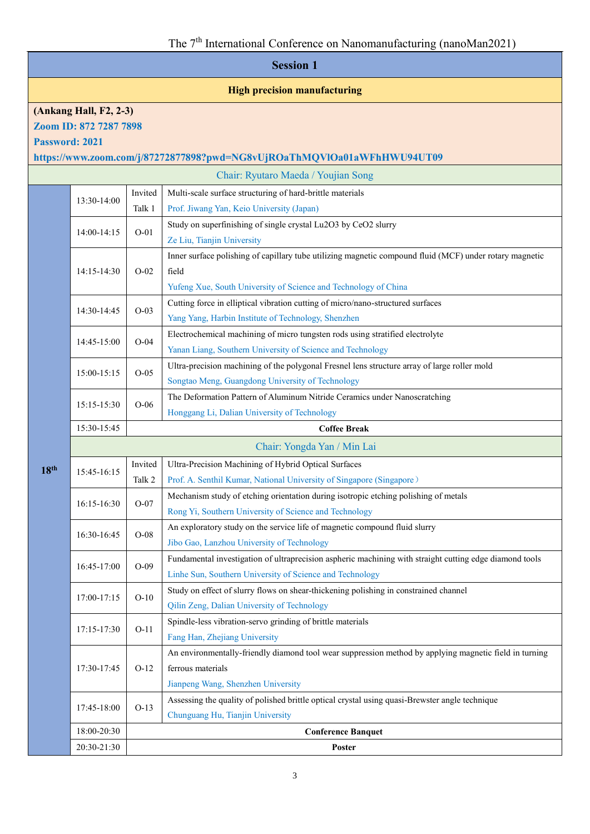|                                     | <b>Session 1</b>                                                        |         |                                                                                                                                                                                     |  |  |  |
|-------------------------------------|-------------------------------------------------------------------------|---------|-------------------------------------------------------------------------------------------------------------------------------------------------------------------------------------|--|--|--|
| <b>High precision manufacturing</b> |                                                                         |         |                                                                                                                                                                                     |  |  |  |
|                                     | (Ankang Hall, F2, 2-3)<br>Zoom ID: 872 7287 7898<br>Password: 2021      |         |                                                                                                                                                                                     |  |  |  |
|                                     | https://www.zoom.com/j/87272877898?pwd=NG8vUjROaThMQVIOa01aWFhHWU94UT09 |         |                                                                                                                                                                                     |  |  |  |
|                                     | Chair: Ryutaro Maeda / Youjian Song                                     |         |                                                                                                                                                                                     |  |  |  |
|                                     | 13:30-14:00                                                             | Invited | Multi-scale surface structuring of hard-brittle materials                                                                                                                           |  |  |  |
|                                     |                                                                         | Talk 1  | Prof. Jiwang Yan, Keio University (Japan)                                                                                                                                           |  |  |  |
|                                     | 14:00-14:15                                                             | $O-01$  | Study on superfinishing of single crystal Lu2O3 by CeO2 slurry<br>Ze Liu, Tianjin University                                                                                        |  |  |  |
|                                     | 14:15-14:30                                                             | $O-02$  | Inner surface polishing of capillary tube utilizing magnetic compound fluid (MCF) under rotary magnetic<br>field<br>Yufeng Xue, South University of Science and Technology of China |  |  |  |
|                                     | 14:30-14:45                                                             | $O-03$  | Cutting force in elliptical vibration cutting of micro/nano-structured surfaces<br>Yang Yang, Harbin Institute of Technology, Shenzhen                                              |  |  |  |
|                                     | 14:45-15:00                                                             | $O-04$  | Electrochemical machining of micro tungsten rods using stratified electrolyte<br>Yanan Liang, Southern University of Science and Technology                                         |  |  |  |
|                                     | 15:00-15:15                                                             | $O-05$  | Ultra-precision machining of the polygonal Fresnel lens structure array of large roller mold<br>Songtao Meng, Guangdong University of Technology                                    |  |  |  |
|                                     | 15:15-15:30                                                             | $O-06$  | The Deformation Pattern of Aluminum Nitride Ceramics under Nanoscratching<br>Honggang Li, Dalian University of Technology                                                           |  |  |  |
|                                     | 15:30-15:45                                                             |         | <b>Coffee Break</b>                                                                                                                                                                 |  |  |  |
|                                     | Chair: Yongda Yan / Min Lai                                             |         |                                                                                                                                                                                     |  |  |  |
| 18 <sup>th</sup>                    | 15:45-16:15                                                             | Invited | Ultra-Precision Machining of Hybrid Optical Surfaces                                                                                                                                |  |  |  |
|                                     |                                                                         | Talk 2  | Prof. A. Senthil Kumar, National University of Singapore (Singapore)                                                                                                                |  |  |  |
|                                     | 16:15-16:30                                                             | $O-07$  | Mechanism study of etching orientation during isotropic etching polishing of metals<br>Rong Yi, Southern University of Science and Technology                                       |  |  |  |
|                                     | 16:30-16:45                                                             | $O-08$  | An exploratory study on the service life of magnetic compound fluid slurry<br>Jibo Gao, Lanzhou University of Technology                                                            |  |  |  |
|                                     | 16:45-17:00                                                             | $O-09$  | Fundamental investigation of ultraprecision aspheric machining with straight cutting edge diamond tools<br>Linhe Sun, Southern University of Science and Technology                 |  |  |  |
|                                     | 17:00-17:15                                                             | $O-10$  | Study on effect of slurry flows on shear-thickening polishing in constrained channel<br>Qilin Zeng, Dalian University of Technology                                                 |  |  |  |
|                                     | 17:15-17:30                                                             | $O-11$  | Spindle-less vibration-servo grinding of brittle materials<br>Fang Han, Zhejiang University                                                                                         |  |  |  |
|                                     | 17:30-17:45                                                             | $O-12$  | An environmentally-friendly diamond tool wear suppression method by applying magnetic field in turning<br>ferrous materials<br>Jianpeng Wang, Shenzhen University                   |  |  |  |
|                                     | 17:45-18:00                                                             | $O-13$  | Assessing the quality of polished brittle optical crystal using quasi-Brewster angle technique<br>Chunguang Hu, Tianjin University                                                  |  |  |  |
|                                     | 18:00-20:30                                                             |         | <b>Conference Banquet</b>                                                                                                                                                           |  |  |  |
|                                     | 20:30-21:30                                                             |         | Poster                                                                                                                                                                              |  |  |  |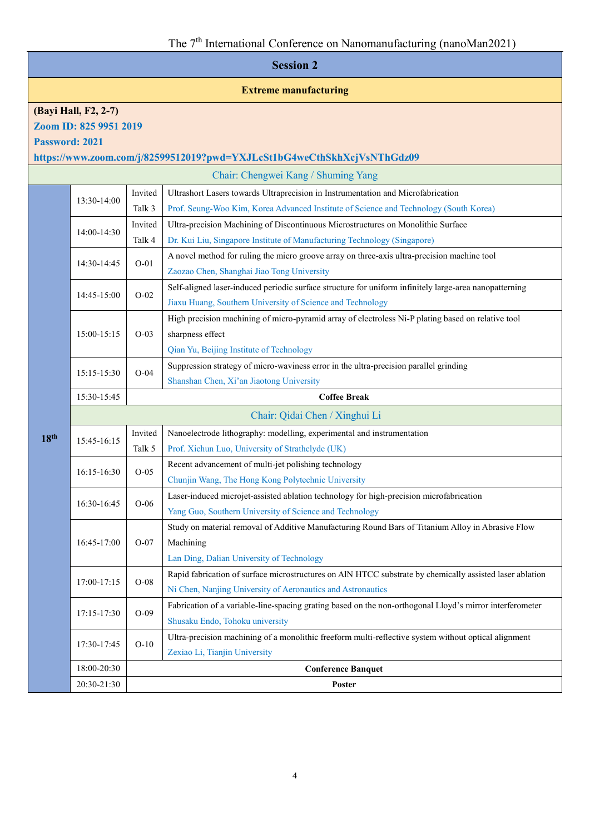| <b>Session 2</b> |                                |         |                                                                                                          |                                                                                         |  |  |  |
|------------------|--------------------------------|---------|----------------------------------------------------------------------------------------------------------|-----------------------------------------------------------------------------------------|--|--|--|
|                  | <b>Extreme manufacturing</b>   |         |                                                                                                          |                                                                                         |  |  |  |
|                  | (Bayi Hall, F2, 2-7)           |         |                                                                                                          |                                                                                         |  |  |  |
|                  | Zoom ID: 825 9951 2019         |         |                                                                                                          |                                                                                         |  |  |  |
|                  | Password: 2021                 |         |                                                                                                          |                                                                                         |  |  |  |
|                  |                                |         | https://www.zoom.com/j/82599512019?pwd=YXJLcSt1bG4weCthSkhXcjVsNThGdz09                                  |                                                                                         |  |  |  |
|                  |                                |         | Chair: Chengwei Kang / Shuming Yang                                                                      |                                                                                         |  |  |  |
|                  | 13:30-14:00                    | Invited | Ultrashort Lasers towards Ultraprecision in Instrumentation and Microfabrication                         |                                                                                         |  |  |  |
|                  |                                | Talk 3  | Prof. Seung-Woo Kim, Korea Advanced Institute of Science and Technology (South Korea)                    |                                                                                         |  |  |  |
|                  | 14:00-14:30                    | Invited | Ultra-precision Machining of Discontinuous Microstructures on Monolithic Surface                         |                                                                                         |  |  |  |
|                  |                                | Talk 4  | Dr. Kui Liu, Singapore Institute of Manufacturing Technology (Singapore)                                 |                                                                                         |  |  |  |
|                  |                                |         | A novel method for ruling the micro groove array on three-axis ultra-precision machine tool              |                                                                                         |  |  |  |
|                  | 14:30-14:45                    | $O-01$  | Zaozao Chen, Shanghai Jiao Tong University                                                               |                                                                                         |  |  |  |
|                  |                                |         | Self-aligned laser-induced periodic surface structure for uniform infinitely large-area nanopatterning   |                                                                                         |  |  |  |
|                  | 14:45-15:00                    | $O-02$  | Jiaxu Huang, Southern University of Science and Technology                                               |                                                                                         |  |  |  |
|                  |                                |         | High precision machining of micro-pyramid array of electroless Ni-P plating based on relative tool       |                                                                                         |  |  |  |
|                  | 15:00-15:15                    | $O-03$  | sharpness effect                                                                                         |                                                                                         |  |  |  |
|                  |                                |         | Qian Yu, Beijing Institute of Technology                                                                 |                                                                                         |  |  |  |
|                  | 15:15-15:30                    | $O-04$  | Suppression strategy of micro-waviness error in the ultra-precision parallel grinding                    |                                                                                         |  |  |  |
|                  |                                |         | Shanshan Chen, Xi'an Jiaotong University                                                                 |                                                                                         |  |  |  |
|                  | 15:30-15:45                    |         | <b>Coffee Break</b>                                                                                      |                                                                                         |  |  |  |
|                  | Chair: Qidai Chen / Xinghui Li |         |                                                                                                          |                                                                                         |  |  |  |
| 18 <sup>th</sup> |                                | Invited | Nanoelectrode lithography: modelling, experimental and instrumentation                                   |                                                                                         |  |  |  |
|                  | 15:45-16:15                    | Talk 5  | Prof. Xichun Luo, University of Strathclyde (UK)                                                         |                                                                                         |  |  |  |
|                  | 16:15-16:30                    |         | Recent advancement of multi-jet polishing technology                                                     |                                                                                         |  |  |  |
|                  |                                |         | $O-05$                                                                                                   | Chunjin Wang, The Hong Kong Polytechnic University                                      |  |  |  |
|                  |                                |         |                                                                                                          | Laser-induced microjet-assisted ablation technology for high-precision microfabrication |  |  |  |
|                  | 16:30-16:45                    | $O-06$  | Yang Guo, Southern University of Science and Technology                                                  |                                                                                         |  |  |  |
|                  |                                |         | Study on material removal of Additive Manufacturing Round Bars of Titanium Alloy in Abrasive Flow        |                                                                                         |  |  |  |
|                  | 16:45-17:00                    | $O-07$  | Machining                                                                                                |                                                                                         |  |  |  |
|                  |                                |         | Lan Ding, Dalian University of Technology                                                                |                                                                                         |  |  |  |
|                  |                                |         | Rapid fabrication of surface microstructures on AIN HTCC substrate by chemically assisted laser ablation |                                                                                         |  |  |  |
|                  | 17:00-17:15                    | $O-08$  | Ni Chen, Nanjing University of Aeronautics and Astronautics                                              |                                                                                         |  |  |  |
|                  |                                |         | Fabrication of a variable-line-spacing grating based on the non-orthogonal Lloyd's mirror interferometer |                                                                                         |  |  |  |
|                  | 17:15-17:30                    | $O-09$  | Shusaku Endo, Tohoku university                                                                          |                                                                                         |  |  |  |
|                  |                                |         | Ultra-precision machining of a monolithic freeform multi-reflective system without optical alignment     |                                                                                         |  |  |  |
|                  | 17:30-17:45                    | $O-10$  | Zexiao Li, Tianjin University                                                                            |                                                                                         |  |  |  |
|                  | 18:00-20:30                    |         | <b>Conference Banquet</b>                                                                                |                                                                                         |  |  |  |
|                  | 20:30-21:30                    |         | Poster                                                                                                   |                                                                                         |  |  |  |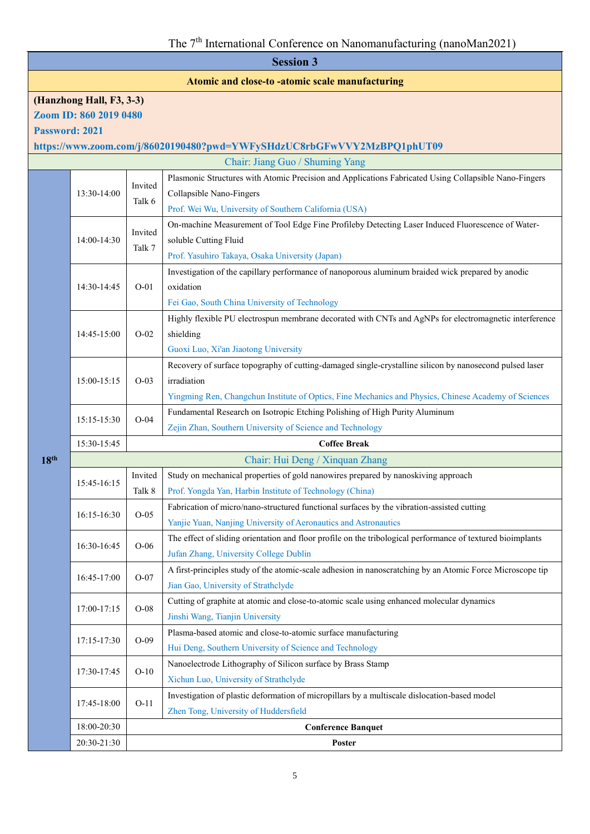#### **Atomic and close-to -atomic scale manufacturing**

# **(Hanzhong Hall, F3, 3-3) Zoom ID: 860 2019 0480**

**Password: 2021**

**18<sup><b>t**</sup>

**https://www.zoom.com/j/86020190480?pwd=YWFySHdzUC8rbGFwVVY2MzBPQ1phUT09**

|  | Chair: Jiang Guo / Shuming Yang |         |                                                                                                             |  |  |
|--|---------------------------------|---------|-------------------------------------------------------------------------------------------------------------|--|--|
|  | 13:30-14:00                     |         | Plasmonic Structures with Atomic Precision and Applications Fabricated Using Collapsible Nano-Fingers       |  |  |
|  |                                 | Invited | Collapsible Nano-Fingers                                                                                    |  |  |
|  |                                 | Talk 6  | Prof. Wei Wu, University of Southern California (USA)                                                       |  |  |
|  |                                 |         | On-machine Measurement of Tool Edge Fine Profileby Detecting Laser Induced Fluorescence of Water-           |  |  |
|  | 14:00-14:30                     | Invited | soluble Cutting Fluid                                                                                       |  |  |
|  |                                 | Talk 7  | Prof. Yasuhiro Takaya, Osaka University (Japan)                                                             |  |  |
|  |                                 |         | Investigation of the capillary performance of nanoporous aluminum braided wick prepared by anodic           |  |  |
|  | 14:30-14:45                     | $O-01$  | oxidation                                                                                                   |  |  |
|  |                                 |         | Fei Gao, South China University of Technology                                                               |  |  |
|  |                                 |         | Highly flexible PU electrospun membrane decorated with CNTs and AgNPs for electromagnetic interference      |  |  |
|  | 14:45-15:00                     | $O-02$  | shielding                                                                                                   |  |  |
|  |                                 |         | Guoxi Luo, Xi'an Jiaotong University                                                                        |  |  |
|  |                                 |         | Recovery of surface topography of cutting-damaged single-crystalline silicon by nanosecond pulsed laser     |  |  |
|  | 15:00-15:15                     | $O-03$  | irradiation                                                                                                 |  |  |
|  |                                 |         | Yingming Ren, Changchun Institute of Optics, Fine Mechanics and Physics, Chinese Academy of Sciences        |  |  |
|  | 15:15-15:30                     |         | Fundamental Research on Isotropic Etching Polishing of High Purity Aluminum                                 |  |  |
|  |                                 | $O-04$  | Zejin Zhan, Southern University of Science and Technology                                                   |  |  |
|  | 15:30-15:45                     |         | <b>Coffee Break</b>                                                                                         |  |  |
|  | Chair: Hui Deng / Xinquan Zhang |         |                                                                                                             |  |  |
|  | 15:45-16:15                     | Invited | Study on mechanical properties of gold nanowires prepared by nanoskiving approach                           |  |  |
|  |                                 | Talk 8  | Prof. Yongda Yan, Harbin Institute of Technology (China)                                                    |  |  |
|  | 16:15-16:30                     | $O-05$  | Fabrication of micro/nano-structured functional surfaces by the vibration-assisted cutting                  |  |  |
|  |                                 |         | Yanjie Yuan, Nanjing University of Aeronautics and Astronautics                                             |  |  |
|  | 16:30-16:45                     | $O-06$  | The effect of sliding orientation and floor profile on the tribological performance of textured bioimplants |  |  |
|  |                                 |         | Jufan Zhang, University College Dublin                                                                      |  |  |
|  | 16:45-17:00                     | $O-07$  | A first-principles study of the atomic-scale adhesion in nanoscratching by an Atomic Force Microscope tip   |  |  |
|  |                                 |         | Jian Gao, University of Strathclyde                                                                         |  |  |
|  | 17:00-17:15                     | $O-08$  | Cutting of graphite at atomic and close-to-atomic scale using enhanced molecular dynamics                   |  |  |
|  |                                 |         | Jinshi Wang, Tianjin University                                                                             |  |  |
|  | 17:15-17:30                     | $O-09$  | Plasma-based atomic and close-to-atomic surface manufacturing                                               |  |  |
|  |                                 |         | Hui Deng, Southern University of Science and Technology                                                     |  |  |
|  | 17:30-17:45                     | $O-10$  | Nanoelectrode Lithography of Silicon surface by Brass Stamp                                                 |  |  |
|  |                                 |         | Xichun Luo, University of Strathclyde                                                                       |  |  |
|  |                                 | $O-11$  | Investigation of plastic deformation of micropillars by a multiscale dislocation-based model                |  |  |
|  | 17:45-18:00                     |         | Zhen Tong, University of Huddersfield                                                                       |  |  |
|  |                                 |         |                                                                                                             |  |  |
|  | 18:00-20:30                     |         | <b>Conference Banquet</b>                                                                                   |  |  |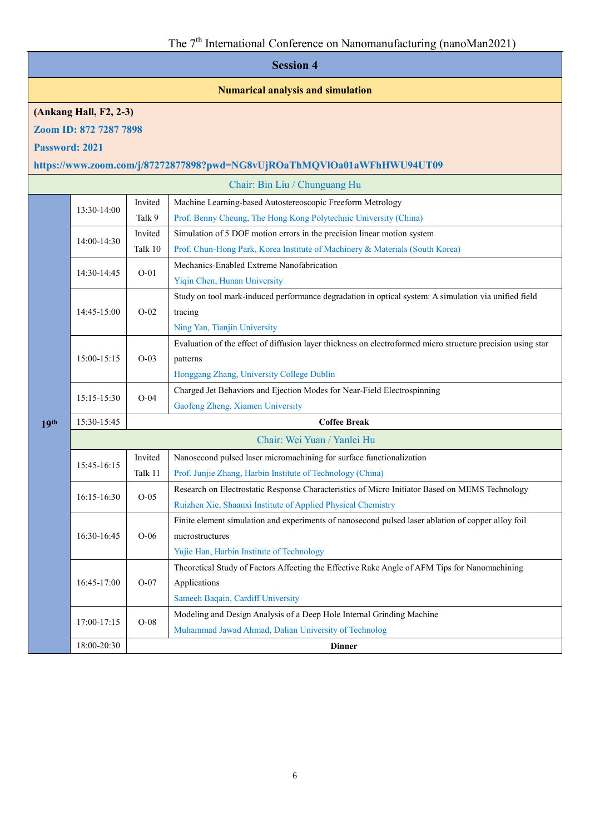#### **Numarical analysis and simulation**

#### **(Ankang Hall, F2, 2-3)**

**Zoom ID: 872 7287 7898**

**Password: 2021**

# **https://www.zoom.com/j/87272877898?pwd=NG8vUjROaThMQVlOa01aWFhHWU94UT09**

| Invited<br>Machine Learning-based Autostereoscopic Freeform Metrology<br>13:30-14:00<br>Talk 9<br>Prof. Benny Cheung, The Hong Kong Polytechnic University (China) |  |  |
|--------------------------------------------------------------------------------------------------------------------------------------------------------------------|--|--|
|                                                                                                                                                                    |  |  |
|                                                                                                                                                                    |  |  |
| Simulation of 5 DOF motion errors in the precision linear motion system<br>Invited                                                                                 |  |  |
| 14:00-14:30<br>Prof. Chun-Hong Park, Korea Institute of Machinery & Materials (South Korea)<br>Talk 10                                                             |  |  |
| Mechanics-Enabled Extreme Nanofabrication<br>$O-01$<br>14:30-14:45                                                                                                 |  |  |
| Yiqin Chen, Hunan University                                                                                                                                       |  |  |
| Study on tool mark-induced performance degradation in optical system: A simulation via unified field                                                               |  |  |
| $O-02$<br>tracing<br>14:45-15:00                                                                                                                                   |  |  |
| Ning Yan, Tianjin University                                                                                                                                       |  |  |
| Evaluation of the effect of diffusion layer thickness on electroformed micro structure precision using star                                                        |  |  |
| 15:00-15:15<br>$O-03$<br>patterns                                                                                                                                  |  |  |
| Honggang Zhang, University College Dublin                                                                                                                          |  |  |
| Charged Jet Behaviors and Ejection Modes for Near-Field Electrospinning<br>$O-04$                                                                                  |  |  |
| 15:15-15:30<br>Gaofeng Zheng, Xiamen University                                                                                                                    |  |  |
| 15:30-15:45<br><b>Coffee Break</b><br>19th                                                                                                                         |  |  |
|                                                                                                                                                                    |  |  |
| Chair: Wei Yuan / Yanlei Hu                                                                                                                                        |  |  |
| Invited<br>Nanosecond pulsed laser micromachining for surface functionalization                                                                                    |  |  |
| 15:45-16:15<br>Prof. Junjie Zhang, Harbin Institute of Technology (China)<br>Talk 11                                                                               |  |  |
| Research on Electrostatic Response Characteristics of Micro Initiator Based on MEMS Technology                                                                     |  |  |
| $O-05$<br>16:15-16:30<br>Ruizhen Xie, Shaanxi Institute of Applied Physical Chemistry                                                                              |  |  |
| Finite element simulation and experiments of nanosecond pulsed laser ablation of copper alloy foil                                                                 |  |  |
| 16:30-16:45<br>$O-06$<br>microstructures                                                                                                                           |  |  |
| Yujie Han, Harbin Institute of Technology                                                                                                                          |  |  |
| Theoretical Study of Factors Affecting the Effective Rake Angle of AFM Tips for Nanomachining                                                                      |  |  |
| $O-07$<br>Applications<br>16:45-17:00                                                                                                                              |  |  |
| Sameeh Baqain, Cardiff University                                                                                                                                  |  |  |
| Modeling and Design Analysis of a Deep Hole Internal Grinding Machine                                                                                              |  |  |
| $O-08$<br>17:00-17:15<br>Muhammad Jawad Ahmad, Dalian University of Technolog                                                                                      |  |  |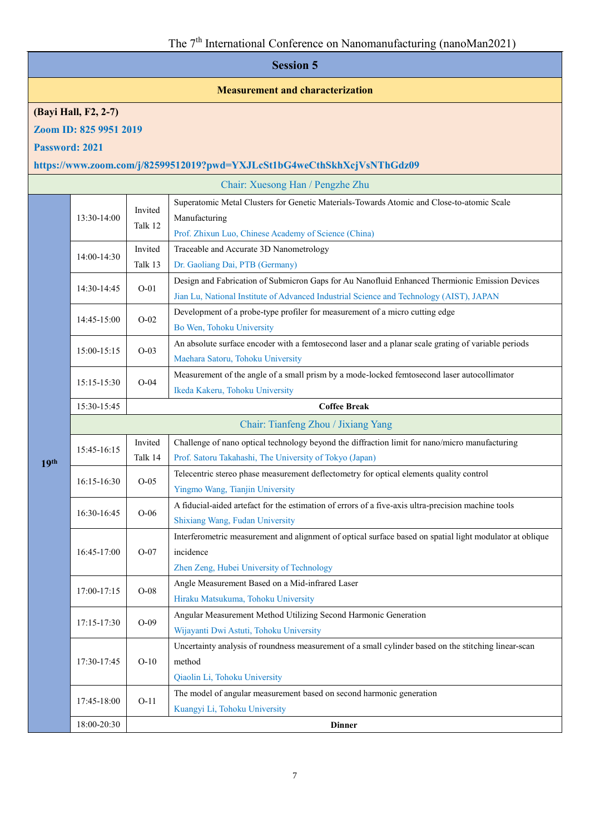#### **Measurement and characterization**

# **(Bayi Hall, F2, 2-7)**

**Zoom ID: 825 9951 2019**

**Password: 2021**

**19th**

# **https://www.zoom.com/j/82599512019?pwd=YXJLcSt1bG4weCthSkhXcjVsNThGdz09**

|                                    | Chair: Xuesong Han / Pengzhe Zhu    |                    |                                                                                                          |  |  |
|------------------------------------|-------------------------------------|--------------------|----------------------------------------------------------------------------------------------------------|--|--|
|                                    |                                     | Invited<br>Talk 12 | Superatomic Metal Clusters for Genetic Materials-Towards Atomic and Close-to-atomic Scale                |  |  |
|                                    | 13:30-14:00                         |                    | Manufacturing                                                                                            |  |  |
|                                    |                                     |                    | Prof. Zhixun Luo, Chinese Academy of Science (China)                                                     |  |  |
|                                    | 14:00-14:30                         | Invited            | Traceable and Accurate 3D Nanometrology                                                                  |  |  |
|                                    |                                     | Talk 13            | Dr. Gaoliang Dai, PTB (Germany)                                                                          |  |  |
|                                    | 14:30-14:45                         | $O-01$             | Design and Fabrication of Submicron Gaps for Au Nanofluid Enhanced Thermionic Emission Devices           |  |  |
|                                    |                                     |                    | Jian Lu, National Institute of Advanced Industrial Science and Technology (AIST), JAPAN                  |  |  |
|                                    | 14:45-15:00                         | $O-02$             | Development of a probe-type profiler for measurement of a micro cutting edge                             |  |  |
|                                    |                                     |                    | Bo Wen, Tohoku University                                                                                |  |  |
|                                    | 15:00-15:15                         | $O-03$             | An absolute surface encoder with a femtosecond laser and a planar scale grating of variable periods      |  |  |
|                                    |                                     |                    | Maehara Satoru, Tohoku University                                                                        |  |  |
|                                    | 15:15-15:30                         | $O-04$             | Measurement of the angle of a small prism by a mode-locked femtosecond laser autocollimator              |  |  |
|                                    |                                     |                    | Ikeda Kakeru, Tohoku University                                                                          |  |  |
| 15:30-15:45<br><b>Coffee Break</b> |                                     |                    |                                                                                                          |  |  |
|                                    | Chair: Tianfeng Zhou / Jixiang Yang |                    |                                                                                                          |  |  |
|                                    |                                     | Invited            | Challenge of nano optical technology beyond the diffraction limit for nano/micro manufacturing           |  |  |
|                                    | 15:45-16:15                         | Talk 14            | Prof. Satoru Takahashi, The University of Tokyo (Japan)                                                  |  |  |
|                                    | 16:15-16:30                         | $O-05$             | Telecentric stereo phase measurement deflectometry for optical elements quality control                  |  |  |
|                                    |                                     |                    | Yingmo Wang, Tianjin University                                                                          |  |  |
|                                    | 16:30-16:45                         | $O-06$             | A fiducial-aided artefact for the estimation of errors of a five-axis ultra-precision machine tools      |  |  |
|                                    |                                     |                    | Shixiang Wang, Fudan University                                                                          |  |  |
|                                    |                                     |                    | Interferometric measurement and alignment of optical surface based on spatial light modulator at oblique |  |  |
|                                    | 16:45-17:00                         | $O-07$             | incidence                                                                                                |  |  |
|                                    |                                     |                    | Zhen Zeng, Hubei University of Technology                                                                |  |  |
|                                    | 17:00-17:15                         | $O-08$             | Angle Measurement Based on a Mid-infrared Laser                                                          |  |  |
|                                    |                                     |                    | Hiraku Matsukuma, Tohoku University                                                                      |  |  |
|                                    | 17:15-17:30                         | $O-09$             | Angular Measurement Method Utilizing Second Harmonic Generation                                          |  |  |
|                                    |                                     |                    | Wijayanti Dwi Astuti, Tohoku University                                                                  |  |  |
|                                    |                                     |                    | Uncertainty analysis of roundness measurement of a small cylinder based on the stitching linear-scan     |  |  |
|                                    | 17:30-17:45                         | $O-10$             | method                                                                                                   |  |  |
|                                    |                                     |                    | Qiaolin Li, Tohoku University                                                                            |  |  |
|                                    | 17:45-18:00                         | $O-11$             | The model of angular measurement based on second harmonic generation                                     |  |  |
|                                    |                                     |                    | Kuangyi Li, Tohoku University                                                                            |  |  |
|                                    | 18:00-20:30                         |                    | <b>Dinner</b>                                                                                            |  |  |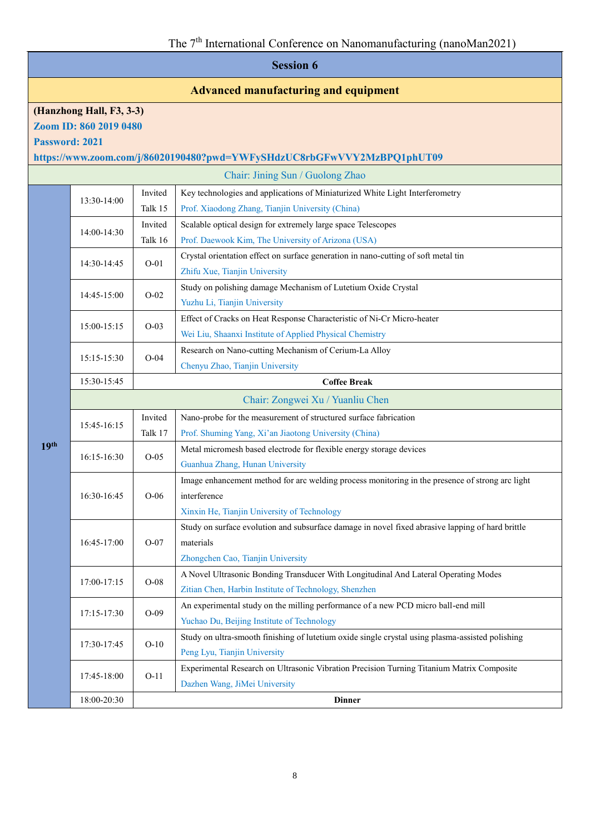# **Advanced manufacturing and equipment**

# **(Hanzhong Hall, F3, 3-3)**

**Zoom ID: 860 2019 0480**

**Password: 2021**

**https://www.zoom.com/j/86020190480?pwd=YWFySHdzUC8rbGFwVVY2MzBPQ1phUT09**

|                  |             |         | Chair: Jining Sun / Guolong Zhao                                                                 |
|------------------|-------------|---------|--------------------------------------------------------------------------------------------------|
|                  | 13:30-14:00 | Invited | Key technologies and applications of Miniaturized White Light Interferometry                     |
|                  |             | Talk 15 | Prof. Xiaodong Zhang, Tianjin University (China)                                                 |
|                  | 14:00-14:30 | Invited | Scalable optical design for extremely large space Telescopes                                     |
|                  |             | Talk 16 | Prof. Daewook Kim, The University of Arizona (USA)                                               |
|                  | 14:30-14:45 | $O-01$  | Crystal orientation effect on surface generation in nano-cutting of soft metal tin               |
|                  |             |         | Zhifu Xue, Tianjin University                                                                    |
|                  | 14:45-15:00 | $O-02$  | Study on polishing damage Mechanism of Lutetium Oxide Crystal                                    |
|                  |             |         | Yuzhu Li, Tianjin University                                                                     |
|                  |             |         | Effect of Cracks on Heat Response Characteristic of Ni-Cr Micro-heater                           |
|                  | 15:00-15:15 | $O-03$  | Wei Liu, Shaanxi Institute of Applied Physical Chemistry                                         |
|                  |             | $O-04$  | Research on Nano-cutting Mechanism of Cerium-La Alloy                                            |
|                  | 15:15-15:30 |         | Chenyu Zhao, Tianjin University                                                                  |
|                  | 15:30-15:45 |         | <b>Coffee Break</b>                                                                              |
|                  |             |         | Chair: Zongwei Xu / Yuanliu Chen                                                                 |
|                  |             | Invited | Nano-probe for the measurement of structured surface fabrication                                 |
|                  | 15:45-16:15 | Talk 17 | Prof. Shuming Yang, Xi'an Jiaotong University (China)                                            |
| 19 <sup>th</sup> | 16:15-16:30 | $O-05$  | Metal micromesh based electrode for flexible energy storage devices                              |
|                  |             |         | Guanhua Zhang, Hunan University                                                                  |
|                  | 16:30-16:45 | $O-06$  | Image enhancement method for arc welding process monitoring in the presence of strong arc light  |
|                  |             |         | interference                                                                                     |
|                  |             |         | Xinxin He, Tianjin University of Technology                                                      |
|                  |             | $O-07$  | Study on surface evolution and subsurface damage in novel fixed abrasive lapping of hard brittle |
|                  | 16:45-17:00 |         | materials                                                                                        |
|                  |             |         | Zhongchen Cao, Tianjin University                                                                |
|                  | 17:00-17:15 | $O-08$  | A Novel Ultrasonic Bonding Transducer With Longitudinal And Lateral Operating Modes              |
|                  |             |         | Zitian Chen, Harbin Institute of Technology, Shenzhen                                            |
|                  | 17:15-17:30 | $O-09$  | An experimental study on the milling performance of a new PCD micro ball-end mill                |
|                  |             |         | Yuchao Du, Beijing Institute of Technology                                                       |
|                  | 17:30-17:45 | $O-10$  | Study on ultra-smooth finishing of lutetium oxide single crystal using plasma-assisted polishing |
|                  |             |         | Peng Lyu, Tianjin University                                                                     |
|                  | 17:45-18:00 | $O-11$  | Experimental Research on Ultrasonic Vibration Precision Turning Titanium Matrix Composite        |
|                  |             |         | Dazhen Wang, JiMei University                                                                    |
|                  | 18:00-20:30 |         | <b>Dinner</b>                                                                                    |